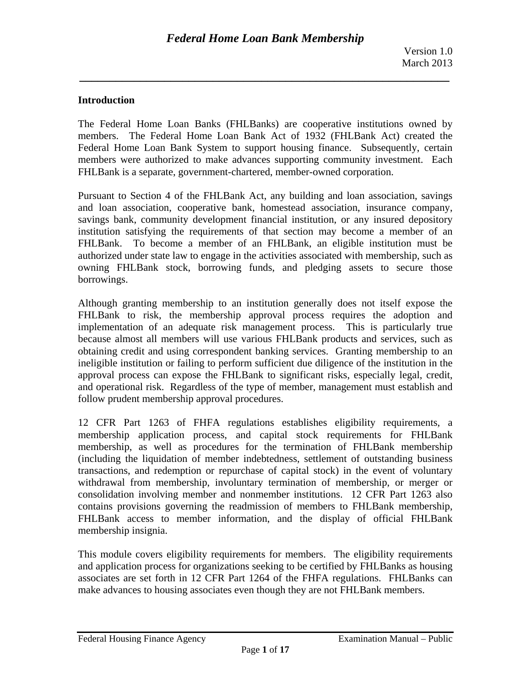## **Introduction**

The Federal Home Loan Banks (FHLBanks) are cooperative institutions owned by members. The Federal Home Loan Bank Act of 1932 (FHLBank Act) created the Federal Home Loan Bank System to support housing finance. Subsequently, certain members were authorized to make advances supporting community investment. Each FHLBank is a separate, government-chartered, member-owned corporation.

Pursuant to Section 4 of the FHLBank Act, any building and loan association, savings and loan association, cooperative bank, homestead association, insurance company, savings bank, community development financial institution, or any insured depository institution satisfying the requirements of that section may become a member of an FHLBank. To become a member of an FHLBank, an eligible institution must be authorized under state law to engage in the activities associated with membership, such as owning FHLBank stock, borrowing funds, and pledging assets to secure those borrowings.

Although granting membership to an institution generally does not itself expose the FHLBank to risk, the membership approval process requires the adoption and implementation of an adequate risk management process. This is particularly true because almost all members will use various FHLBank products and services, such as obtaining credit and using correspondent banking services. Granting membership to an ineligible institution or failing to perform sufficient due diligence of the institution in the approval process can expose the FHLBank to significant risks, especially legal, credit, and operational risk. Regardless of the type of member, management must establish and follow prudent membership approval procedures.

12 CFR Part 1263 of FHFA regulations establishes eligibility requirements, a membership application process, and capital stock requirements for FHLBank membership, as well as procedures for the termination of FHLBank membership (including the liquidation of member indebtedness, settlement of outstanding business transactions, and redemption or repurchase of capital stock) in the event of voluntary withdrawal from membership, involuntary termination of membership, or merger or consolidation involving member and nonmember institutions. 12 CFR Part 1263 also contains provisions governing the readmission of members to FHLBank membership, FHLBank access to member information, and the display of official FHLBank membership insignia.

This module covers eligibility requirements for members. The eligibility requirements and application process for organizations seeking to be certified by FHLBanks as housing associates are set forth in 12 CFR Part 1264 of the FHFA regulations. FHLBanks can make advances to housing associates even though they are not FHLBank members.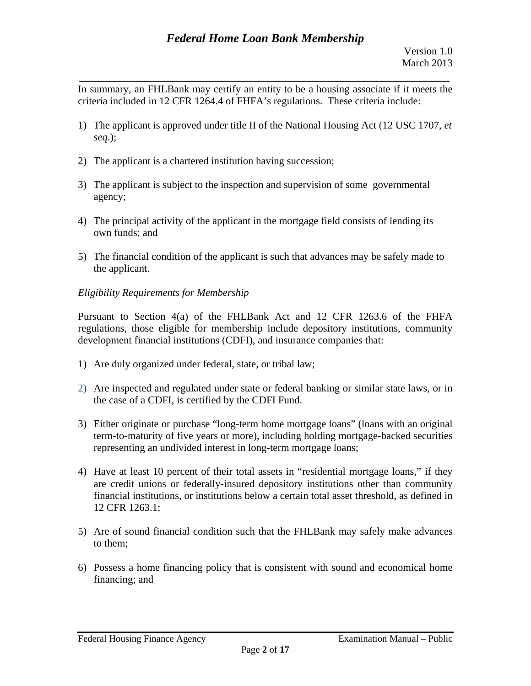In summary, an FHLBank may certify an entity to be a housing associate if it meets the criteria included in 12 CFR 1264.4 of FHFA's regulations. These criteria include:

*\_\_\_\_\_\_\_\_\_\_\_\_\_\_\_\_\_\_\_\_\_\_\_\_\_\_\_\_\_\_\_\_\_\_\_\_\_\_\_\_\_\_\_\_\_\_\_\_\_\_\_\_\_\_\_\_\_\_\_\_\_* 

- 1) The applicant is approved under title II of the National Housing Act (12 USC 1707, *et seq*.);
- 2) The applicant is a chartered institution having succession;
- 3) The applicant is subject to the inspection and supervision of some governmental agency;
- 4) The principal activity of the applicant in the mortgage field consists of lending its own funds; and
- 5) The financial condition of the applicant is such that advances may be safely made to the applicant.

# *Eligibility Requirements for Membership*

Pursuant to Section 4(a) of the FHLBank Act and 12 CFR 1263.6 of the FHFA regulations, those eligible for membership include depository institutions, community development financial institutions (CDFI), and insurance companies that:

- 1) Are duly organized under federal, state, or tribal law;
- 2) Are inspected and regulated under state or federal banking or similar state laws, or in the case of a CDFI, is certified by the CDFI Fund.
- 3) Either originate or purchase "long-term home mortgage loans" (loans with an original term-to-maturity of five years or more), including holding mortgage-backed securities representing an undivided interest in long-term mortgage loans;
- 4) Have at least 10 percent of their total assets in "residential mortgage loans," if they are credit unions or federally-insured depository institutions other than community financial institutions, or institutions below a certain total asset threshold, as defined in 12 CFR 1263.1;
- 5) Are of sound financial condition such that the FHLBank may safely make advances to them;
- 6) Possess a home financing policy that is consistent with sound and economical home financing; and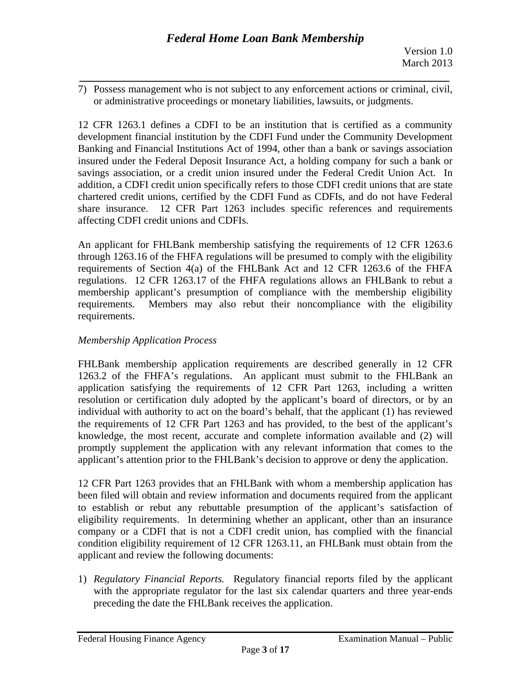*\_\_\_\_\_\_\_\_\_\_\_\_\_\_\_\_\_\_\_\_\_\_\_\_\_\_\_\_\_\_\_\_\_\_\_\_\_\_\_\_\_\_\_\_\_\_\_\_\_\_\_\_\_\_\_\_\_\_\_\_\_*  7) Possess management who is not subject to any enforcement actions or criminal, civil, or administrative proceedings or monetary liabilities, lawsuits, or judgments.

12 CFR 1263.1 defines a CDFI to be an institution that is certified as a community development financial institution by the CDFI Fund under the Community Development Banking and Financial Institutions Act of 1994, other than a bank or savings association insured under the Federal Deposit Insurance Act, a holding company for such a bank or savings association, or a credit union insured under the Federal Credit Union Act. In addition, a CDFI credit union specifically refers to those CDFI credit unions that are state chartered credit unions, certified by the CDFI Fund as CDFIs, and do not have Federal share insurance. 12 CFR Part 1263 includes specific references and requirements affecting CDFI credit unions and CDFIs.

An applicant for FHLBank membership satisfying the requirements of 12 CFR 1263.6 through 1263.16 of the FHFA regulations will be presumed to comply with the eligibility requirements of Section 4(a) of the FHLBank Act and 12 CFR 1263.6 of the FHFA regulations. 12 CFR 1263.17 of the FHFA regulations allows an FHLBank to rebut a membership applicant's presumption of compliance with the membership eligibility requirements. Members may also rebut their noncompliance with the eligibility requirements.

# *Membership Application Process*

FHLBank membership application requirements are described generally in 12 CFR 1263.2 of the FHFA's regulations. An applicant must submit to the FHLBank an application satisfying the requirements of 12 CFR Part 1263, including a written resolution or certification duly adopted by the applicant's board of directors, or by an individual with authority to act on the board's behalf, that the applicant (1) has reviewed the requirements of 12 CFR Part 1263 and has provided, to the best of the applicant's knowledge, the most recent, accurate and complete information available and (2) will promptly supplement the application with any relevant information that comes to the applicant's attention prior to the FHLBank's decision to approve or deny the application.

12 CFR Part 1263 provides that an FHLBank with whom a membership application has been filed will obtain and review information and documents required from the applicant to establish or rebut any rebuttable presumption of the applicant's satisfaction of eligibility requirements. In determining whether an applicant, other than an insurance company or a CDFI that is not a CDFI credit union, has complied with the financial condition eligibility requirement of 12 CFR 1263.11, an FHLBank must obtain from the applicant and review the following documents:

1) *Regulatory Financial Reports.* Regulatory financial reports filed by the applicant with the appropriate regulator for the last six calendar quarters and three year-ends preceding the date the FHLBank receives the application.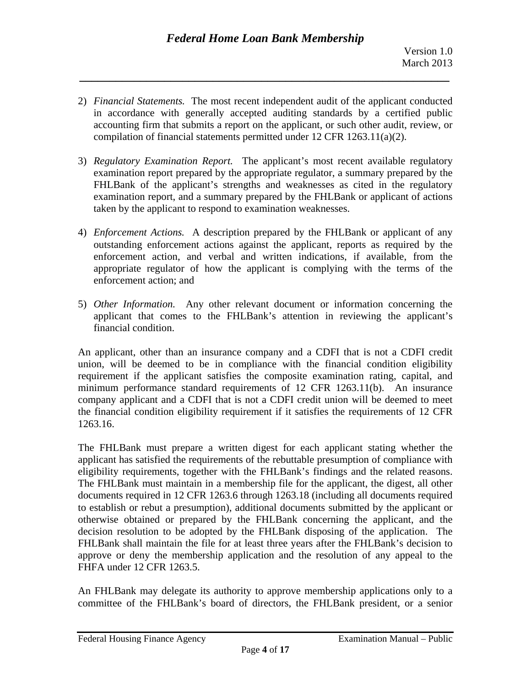2) *Financial Statements*. The most recent independent audit of the applicant conducted in accordance with generally accepted auditing standards by a certified public accounting firm that submits a report on the applicant, or such other audit, review, or compilation of financial statements permitted under 12 CFR 1263.11(a)(2).

*\_\_\_\_\_\_\_\_\_\_\_\_\_\_\_\_\_\_\_\_\_\_\_\_\_\_\_\_\_\_\_\_\_\_\_\_\_\_\_\_\_\_\_\_\_\_\_\_\_\_\_\_\_\_\_\_\_\_\_\_\_* 

- 3) *Regulatory Examination Report.* The applicant's most recent available regulatory examination report prepared by the appropriate regulator, a summary prepared by the FHLBank of the applicant's strengths and weaknesses as cited in the regulatory examination report, and a summary prepared by the FHLBank or applicant of actions taken by the applicant to respond to examination weaknesses.
- 4) *Enforcement Actions.* A description prepared by the FHLBank or applicant of any outstanding enforcement actions against the applicant, reports as required by the enforcement action, and verbal and written indications, if available, from the appropriate regulator of how the applicant is complying with the terms of the enforcement action; and
- 5) Other Information. Any other relevant document or information concerning the applicant that comes to the FHLBank's attention in reviewing the applicant's financial condition.

An applicant, other than an insurance company and a CDFI that is not a CDFI credit union, will be deemed to be in compliance with the financial condition eligibility requirement if the applicant satisfies the composite examination rating, capital, and minimum performance standard requirements of 12 CFR 1263.11(b). An insurance company applicant and a CDFI that is not a CDFI credit union will be deemed to meet the financial condition eligibility requirement if it satisfies the requirements of 12 CFR 1263.16.

The FHLBank must prepare a written digest for each applicant stating whether the applicant has satisfied the requirements of the rebuttable presumption of compliance with eligibility requirements, together with the FHLBank's findings and the related reasons. The FHLBank must maintain in a membership file for the applicant, the digest, all other documents required in 12 CFR 1263.6 through 1263.18 (including all documents required to establish or rebut a presumption), additional documents submitted by the applicant or otherwise obtained or prepared by the FHLBank concerning the applicant, and the decision resolution to be adopted by the FHLBank disposing of the application. The FHLBank shall maintain the file for at least three years after the FHLBank's decision to approve or deny the membership application and the resolution of any appeal to the FHFA under 12 CFR 1263.5.

An FHLBank may delegate its authority to approve membership applications only to a committee of the FHLBank's board of directors, the FHLBank president, or a senior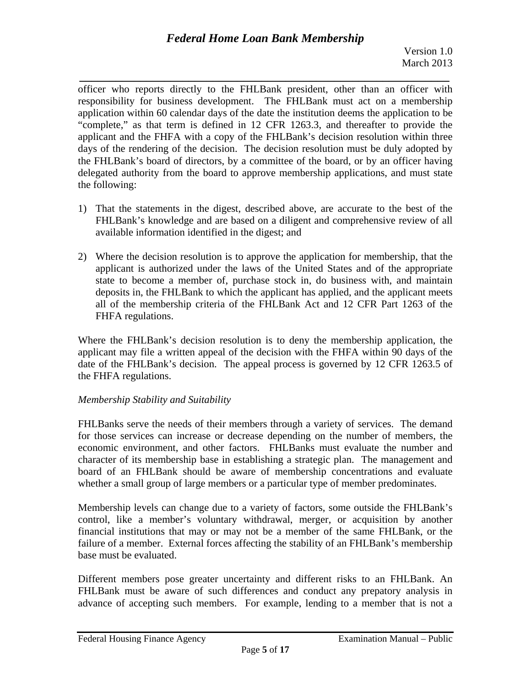*\_\_\_\_\_\_\_\_\_\_\_\_\_\_\_\_\_\_\_\_\_\_\_\_\_\_\_\_\_\_\_\_\_\_\_\_\_\_\_\_\_\_\_\_\_\_\_\_\_\_\_\_\_\_\_\_\_\_\_\_\_*  officer who reports directly to the FHLBank president, other than an officer with responsibility for business development. The FHLBank must act on a membership application within 60 calendar days of the date the institution deems the application to be "complete," as that term is defined in 12 CFR 1263.3, and thereafter to provide the applicant and the FHFA with a copy of the FHLBank's decision resolution within three days of the rendering of the decision. The decision resolution must be duly adopted by the FHLBank's board of directors, by a committee of the board, or by an officer having delegated authority from the board to approve membership applications, and must state the following:

- 1) That the statements in the digest, described above, are accurate to the best of the FHLBank's knowledge and are based on a diligent and comprehensive review of all available information identified in the digest; and
- 2) Where the decision resolution is to approve the application for membership, that the applicant is authorized under the laws of the United States and of the appropriate state to become a member of, purchase stock in, do business with, and maintain deposits in, the FHLBank to which the applicant has applied, and the applicant meets all of the membership criteria of the FHLBank Act and 12 CFR Part 1263 of the FHFA regulations.

Where the FHLBank's decision resolution is to deny the membership application, the applicant may file a written appeal of the decision with the FHFA within 90 days of the date of the FHLBank's decision. The appeal process is governed by 12 CFR 1263.5 of the FHFA regulations.

## *Membership Stability and Suitability*

FHLBanks serve the needs of their members through a variety of services. The demand for those services can increase or decrease depending on the number of members, the economic environment, and other factors. FHLBanks must evaluate the number and character of its membership base in establishing a strategic plan. The management and board of an FHLBank should be aware of membership concentrations and evaluate whether a small group of large members or a particular type of member predominates.

Membership levels can change due to a variety of factors, some outside the FHLBank's control, like a member's voluntary withdrawal, merger, or acquisition by another financial institutions that may or may not be a member of the same FHLBank, or the failure of a member. External forces affecting the stability of an FHLBank's membership base must be evaluated.

Different members pose greater uncertainty and different risks to an FHLBank. An FHLBank must be aware of such differences and conduct any prepatory analysis in advance of accepting such members. For example, lending to a member that is not a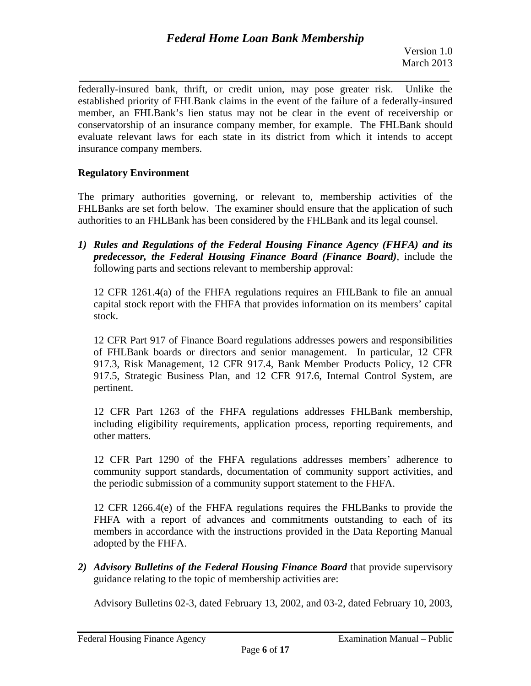*\_\_\_\_\_\_\_\_\_\_\_\_\_\_\_\_\_\_\_\_\_\_\_\_\_\_\_\_\_\_\_\_\_\_\_\_\_\_\_\_\_\_\_\_\_\_\_\_\_\_\_\_\_\_\_\_\_\_\_\_\_*  federally-insured bank, thrift, or credit union, may pose greater risk. Unlike the established priority of FHLBank claims in the event of the failure of a federally-insured member, an FHLBank's lien status may not be clear in the event of receivership or conservatorship of an insurance company member, for example. The FHLBank should evaluate relevant laws for each state in its district from which it intends to accept insurance company members.

## **Regulatory Environment**

The primary authorities governing, or relevant to, membership activities of the FHLBanks are set forth below. The examiner should ensure that the application of such authorities to an FHLBank has been considered by the FHLBank and its legal counsel.

*1) Rules and Regulations of the Federal Housing Finance Agency (FHFA) and its predecessor, the Federal Housing Finance Board (Finance Board)*, include the following parts and sections relevant to membership approval:

12 CFR 1261.4(a) of the FHFA regulations requires an FHLBank to file an annual capital stock report with the FHFA that provides information on its members' capital stock.

12 CFR Part 917 of Finance Board regulations addresses powers and responsibilities of FHLBank boards or directors and senior management. In particular, 12 CFR 917.3, Risk Management, 12 CFR 917.4, Bank Member Products Policy, 12 CFR 917.5, Strategic Business Plan, and 12 CFR 917.6, Internal Control System, are pertinent.

12 CFR Part 1263 of the FHFA regulations addresses FHLBank membership, including eligibility requirements, application process, reporting requirements, and other matters.

12 CFR Part 1290 of the FHFA regulations addresses members' adherence to community support standards, documentation of community support activities, and the periodic submission of a community support statement to the FHFA.

12 CFR 1266.4(e) of the FHFA regulations requires the FHLBanks to provide the FHFA with a report of advances and commitments outstanding to each of its members in accordance with the instructions provided in the Data Reporting Manual adopted by the FHFA.

*2) Advisory Bulletins of the Federal Housing Finance Board* that provide supervisory guidance relating to the topic of membership activities are:

Advisory Bulletins 02-3, dated February 13, 2002, and 03-2, dated February 10, 2003,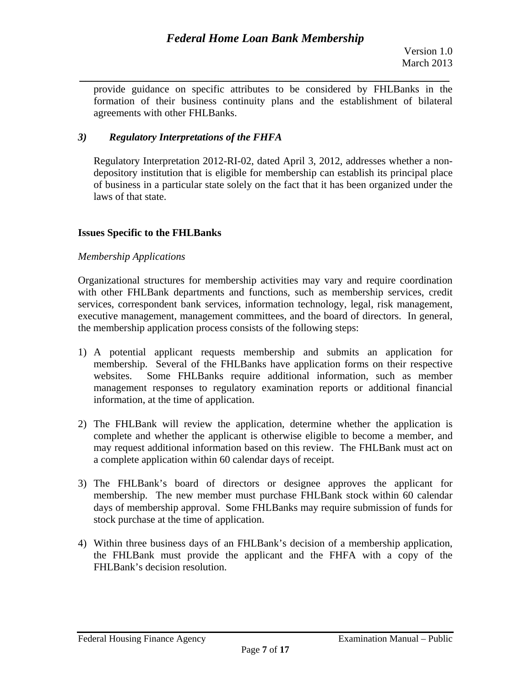*\_\_\_\_\_\_\_\_\_\_\_\_\_\_\_\_\_\_\_\_\_\_\_\_\_\_\_\_\_\_\_\_\_\_\_\_\_\_\_\_\_\_\_\_\_\_\_\_\_\_\_\_\_\_\_\_\_\_\_\_\_*  provide guidance on specific attributes to be considered by FHLBanks in the formation of their business continuity plans and the establishment of bilateral agreements with other FHLBanks.

## *3) Regulatory Interpretations of the FHFA*

Regulatory Interpretation 2012-RI-02, dated April 3, 2012, addresses whether a nondepository institution that is eligible for membership can establish its principal place of business in a particular state solely on the fact that it has been organized under the laws of that state.

## **Issues Specific to the FHLBanks**

### *Membership Applications*

Organizational structures for membership activities may vary and require coordination with other FHLBank departments and functions, such as membership services, credit services, correspondent bank services, information technology, legal, risk management, executive management, management committees, and the board of directors. In general, the membership application process consists of the following steps:

- 1) A potential applicant requests membership and submits an application for membership. Several of the FHLBanks have application forms on their respective websites. Some FHLBanks require additional information, such as member management responses to regulatory examination reports or additional financial information, at the time of application.
- 2) The FHLBank will review the application, determine whether the application is complete and whether the applicant is otherwise eligible to become a member, and may request additional information based on this review. The FHLBank must act on a complete application within 60 calendar days of receipt.
- 3) The FHLBank's board of directors or designee approves the applicant for membership. The new member must purchase FHLBank stock within 60 calendar days of membership approval. Some FHLBanks may require submission of funds for stock purchase at the time of application.
- 4) Within three business days of an FHLBank's decision of a membership application, the FHLBank must provide the applicant and the FHFA with a copy of the FHLBank's decision resolution.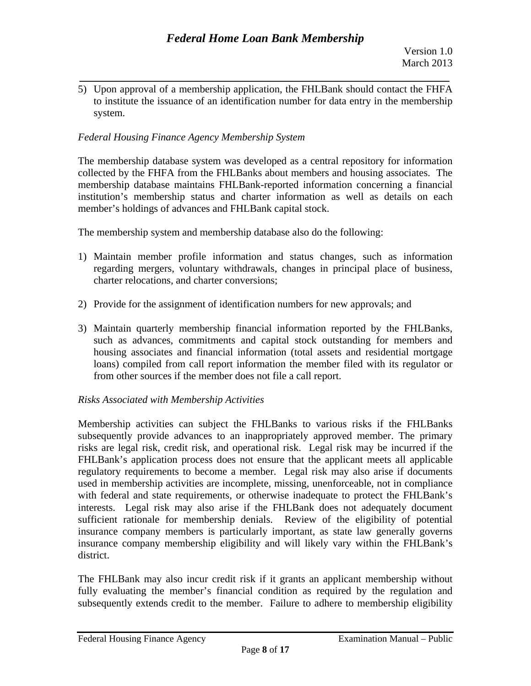*\_\_\_\_\_\_\_\_\_\_\_\_\_\_\_\_\_\_\_\_\_\_\_\_\_\_\_\_\_\_\_\_\_\_\_\_\_\_\_\_\_\_\_\_\_\_\_\_\_\_\_\_\_\_\_\_\_\_\_\_\_*  5) Upon approval of a membership application, the FHLBank should contact the FHFA to institute the issuance of an identification number for data entry in the membership system.

# *Federal Housing Finance Agency Membership System*

The membership database system was developed as a central repository for information collected by the FHFA from the FHLBanks about members and housing associates. The membership database maintains FHLBank-reported information concerning a financial institution's membership status and charter information as well as details on each member's holdings of advances and FHLBank capital stock.

The membership system and membership database also do the following:

- 1) Maintain member profile information and status changes, such as information regarding mergers, voluntary withdrawals, changes in principal place of business, charter relocations, and charter conversions;
- 2) Provide for the assignment of identification numbers for new approvals; and
- 3) Maintain quarterly membership financial information reported by the FHLBanks, such as advances, commitments and capital stock outstanding for members and housing associates and financial information (total assets and residential mortgage loans) compiled from call report information the member filed with its regulator or from other sources if the member does not file a call report.

## *Risks Associated with Membership Activities*

Membership activities can subject the FHLBanks to various risks if the FHLBanks subsequently provide advances to an inappropriately approved member. The primary risks are legal risk, credit risk, and operational risk. Legal risk may be incurred if the FHLBank's application process does not ensure that the applicant meets all applicable regulatory requirements to become a member. Legal risk may also arise if documents used in membership activities are incomplete, missing, unenforceable, not in compliance with federal and state requirements, or otherwise inadequate to protect the FHLBank's interests. Legal risk may also arise if the FHLBank does not adequately document sufficient rationale for membership denials. Review of the eligibility of potential insurance company members is particularly important, as state law generally governs insurance company membership eligibility and will likely vary within the FHLBank's district.

The FHLBank may also incur credit risk if it grants an applicant membership without fully evaluating the member's financial condition as required by the regulation and subsequently extends credit to the member. Failure to adhere to membership eligibility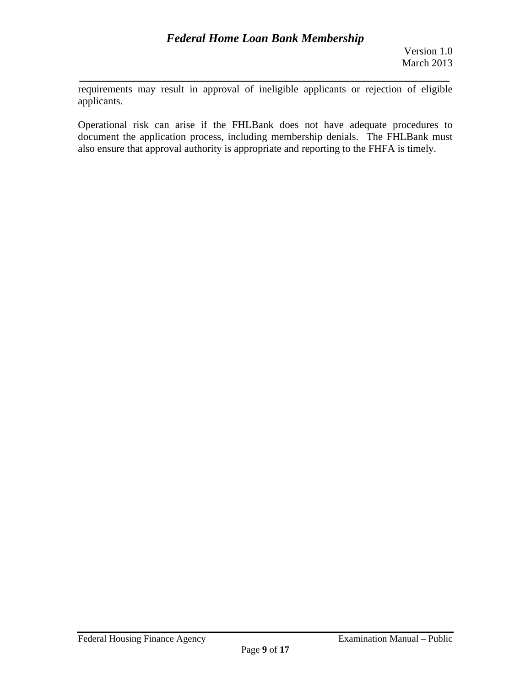requirements may result in approval of ineligible applicants or rejection of eligible applicants.

*\_\_\_\_\_\_\_\_\_\_\_\_\_\_\_\_\_\_\_\_\_\_\_\_\_\_\_\_\_\_\_\_\_\_\_\_\_\_\_\_\_\_\_\_\_\_\_\_\_\_\_\_\_\_\_\_\_\_\_\_\_* 

Operational risk can arise if the FHLBank does not have adequate procedures to document the application process, including membership denials. The FHLBank must also ensure that approval authority is appropriate and reporting to the FHFA is timely.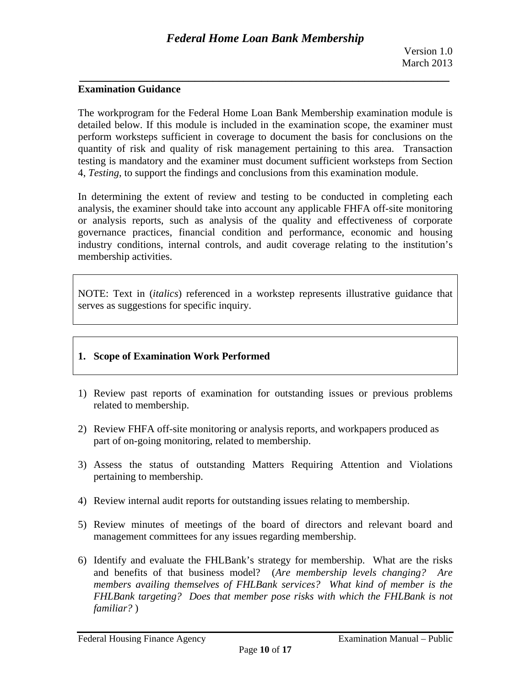### **Examination Guidance**

The workprogram for the Federal Home Loan Bank Membership examination module is detailed below. If this module is included in the examination scope, the examiner must perform worksteps sufficient in coverage to document the basis for conclusions on the quantity of risk and quality of risk management pertaining to this area. Transaction testing is mandatory and the examiner must document sufficient worksteps from Section 4, *Testing*, to support the findings and conclusions from this examination module.

In determining the extent of review and testing to be conducted in completing each analysis, the examiner should take into account any applicable FHFA off-site monitoring or analysis reports, such as analysis of the quality and effectiveness of corporate governance practices, financial condition and performance, economic and housing industry conditions, internal controls, and audit coverage relating to the institution's membership activities.

NOTE: Text in (*italics*) referenced in a workstep represents illustrative guidance that serves as suggestions for specific inquiry.

### **1. Scope of Examination Work Performed**

- 1) Review past reports of examination for outstanding issues or previous problems related to membership.
- 2) Review FHFA off-site monitoring or analysis reports, and workpapers produced as part of on-going monitoring, related to membership.
- 3) Assess the status of outstanding Matters Requiring Attention and Violations pertaining to membership.
- 4) Review internal audit reports for outstanding issues relating to membership.
- 5) Review minutes of meetings of the board of directors and relevant board and management committees for any issues regarding membership.
- 6) Identify and evaluate the FHLBank's strategy for membership. What are the risks and benefits of that business model? (*Are membership levels changing? Are members availing themselves of FHLBank services? What kind of member is the FHLBank targeting? Does that member pose risks with which the FHLBank is not familiar?* )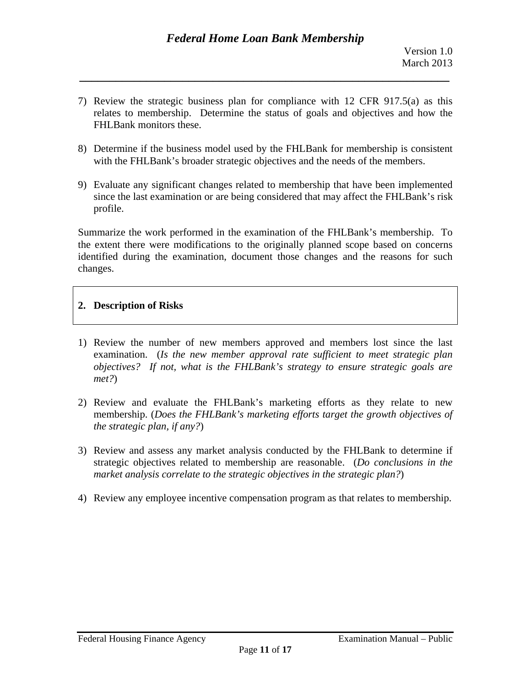7) Review the strategic business plan for compliance with 12 CFR 917.5(a) as this relates to membership. Determine the status of goals and objectives and how the FHLBank monitors these.

*\_\_\_\_\_\_\_\_\_\_\_\_\_\_\_\_\_\_\_\_\_\_\_\_\_\_\_\_\_\_\_\_\_\_\_\_\_\_\_\_\_\_\_\_\_\_\_\_\_\_\_\_\_\_\_\_\_\_\_\_\_* 

- 8) Determine if the business model used by the FHLBank for membership is consistent with the FHLBank's broader strategic objectives and the needs of the members.
- 9) Evaluate any significant changes related to membership that have been implemented since the last examination or are being considered that may affect the FHLBank's risk profile.

Summarize the work performed in the examination of the FHLBank's membership. To the extent there were modifications to the originally planned scope based on concerns identified during the examination, document those changes and the reasons for such changes.

## **2. Description of Risks**

- 1) Review the number of new members approved and members lost since the last examination. (*Is the new member approval rate sufficient to meet strategic plan objectives? If not, what is the FHLBank's strategy to ensure strategic goals are met?*)
- 2) Review and evaluate the FHLBank's marketing efforts as they relate to new membership. (*Does the FHLBank's marketing efforts target the growth objectives of the strategic plan, if any?*)
- 3) Review and assess any market analysis conducted by the FHLBank to determine if strategic objectives related to membership are reasonable. (*Do conclusions in the market analysis correlate to the strategic objectives in the strategic plan?*)
- 4) Review any employee incentive compensation program as that relates to membership.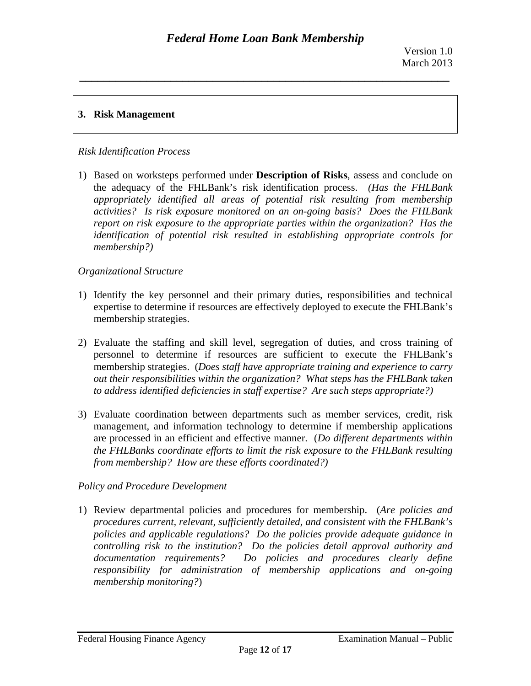# **3. Risk Management**

### *Risk Identification Process*

*membership?*) 1) Based on worksteps performed under **Description of Risks**, assess and conclude on the adequacy of the FHLBank's risk identification process. *(Has the FHLBank appropriately identified all areas of potential risk resulting from membership activities? Is risk exposure monitored on an on-going basis? Does the FHLBank report on risk exposure to the appropriate parties within the organization? Has the identification of potential risk resulted in establishing appropriate controls for* 

### $O$ *rganizational Structure*

- 1) Identify the key personnel and their primary duties, responsibilities and technical expertise to determine if resources are effectively deployed to execute the FHLBank's membership strategies.
- *to address identified deficiencies in staff expertise? Are such steps appropriate?)* 2) Evaluate the staffing and skill level, segregation of duties, and cross training of personnel to determine if resources are sufficient to execute the FHLBank's membership strategies. (*Does staff have appropriate training and experience to carry out their responsibilities within the organization? What steps has the FHLBank taken*
- *from membership? How are these efforts coordinated?) Policy and Procedure Development*  3) Evaluate coordination between departments such as member services, credit, risk management, and information technology to determine if membership applications are processed in an efficient and effective manner. (*Do different departments within the FHLBanks coordinate efforts to limit the risk exposure to the FHLBank resulting*

1) Review departmental policies and procedures for membership. (*Are policies and procedures current, relevant, sufficiently detailed, and consistent with the FHLBank's policies and applicable regulations? Do the policies provide adequate guidance in controlling risk to the institution? Do the policies detail approval authority and documentation requirements? Do policies and procedures clearly define responsibility for administration of membership applications and on-going membership monitoring?*)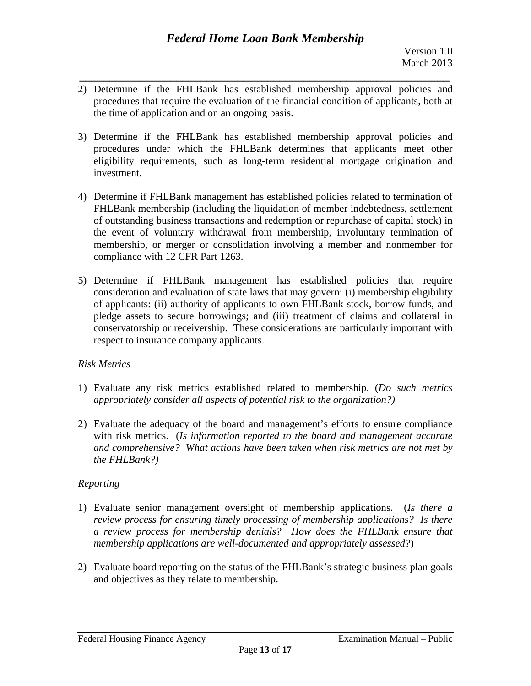- *\_\_\_\_\_\_\_\_\_\_\_\_\_\_\_\_\_\_\_\_\_\_\_\_\_\_\_\_\_\_\_\_\_\_\_\_\_\_\_\_\_\_\_\_\_\_\_\_\_\_\_\_\_\_\_\_\_\_\_\_\_*  2) Determine if the FHLBank has established membership approval policies and procedures that require the evaluation of the financial condition of applicants, both at the time of application and on an ongoing basis.
- 3) Determine if the FHLBank has established membership approval policies and procedures under which the FHLBank determines that applicants meet other eligibility requirements, such as long-term residential mortgage origination and investment.
- 4) Determine if FHLBank management has established policies related to termination of FHLBank membership (including the liquidation of member indebtedness, settlement of outstanding business transactions and redemption or repurchase of capital stock) in the event of voluntary withdrawal from membership, involuntary termination of membership, or merger or consolidation involving a member and nonmember for compliance with 12 CFR Part 1263.
- 5) Determine if FHLBank management has established policies that require consideration and evaluation of state laws that may govern: (i) membership eligibility of applicants: (ii) authority of applicants to own FHLBank stock, borrow funds, and pledge assets to secure borrowings; and (iii) treatment of claims and collateral in conservatorship or receivership. These considerations are particularly important with respect to insurance company applicants.

## *Risk Metrics*

- 1) Evaluate any risk metrics established related to membership. (*Do such metrics appropriately consider all aspects of potential risk to the organization?)*
- *the FHLBank?) Reporting*  2) Evaluate the adequacy of the board and management's efforts to ensure compliance with risk metrics. (*Is information reported to the board and management accurate and comprehensive? What actions have been taken when risk metrics are not met by*

- 1) Evaluate senior management oversight of membership applications. (*Is there a review process for ensuring timely processing of membership applications? Is there a review process for membership denials? How does the FHLBank ensure that membership applications are well-documented and appropriately assessed?*)
- 2) Evaluate board reporting on the status of the FHLBank's strategic business plan goals and objectives as they relate to membership.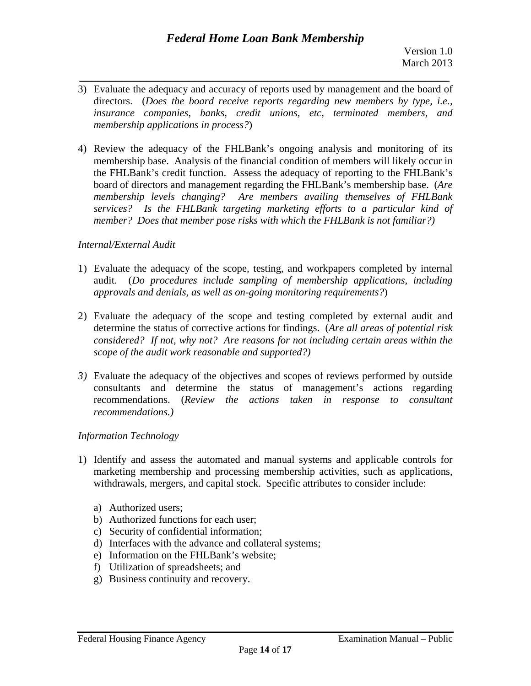3) Evaluate the adequacy and accuracy of reports used by management and the board of directors. (*Does the board receive reports regarding new members by type, i.e., insurance companies, banks, credit unions, etc, terminated members, and membership applications in process?*)

*\_\_\_\_\_\_\_\_\_\_\_\_\_\_\_\_\_\_\_\_\_\_\_\_\_\_\_\_\_\_\_\_\_\_\_\_\_\_\_\_\_\_\_\_\_\_\_\_\_\_\_\_\_\_\_\_\_\_\_\_\_* 

4) Review the adequacy of the FHLBank's ongoing analysis and monitoring of its membership base. Analysis of the financial condition of members will likely occur in the FHLBank's credit function. Assess the adequacy of reporting to the FHLBank's board of directors and management regarding the FHLBank's membership base. (*Are membership levels changing? Are members availing themselves of FHLBank services? Is the FHLBank targeting marketing efforts to a particular kind of member? Does that member pose risks with which the FHLBank is not familiar?)* 

### *Internal/External Audit*

- 1) Evaluate the adequacy of the scope, testing, and workpapers completed by internal audit. (*Do procedures include sampling of membership applications, including approvals and denials, as well as on-going monitoring requirements?*)
- scope of the audit work reasonable and supported?) 2) Evaluate the adequacy of the scope and testing completed by external audit and determine the status of corrective actions for findings. (*Are all areas of potential risk considered? If not, why not? Are reasons for not including certain areas within the*
- *3*) Evaluate the adequacy of the objectives and scopes of reviews performed by outside consultants and determine the status of management's actions regarding recommendations. (*Review the actions taken in response to consultant recommendations.)*

## *Information Technology*

- 1) Identify and assess the automated and manual systems and applicable controls for marketing membership and processing membership activities, such as applications, withdrawals, mergers, and capital stock. Specific attributes to consider include:
	- a) Authorized users;
	- b) Authorized functions for each user;
	- c) Security of confidential information;
	- d) Interfaces with the advance and collateral systems;
	- e) Information on the FHLBank's website;
	- f) Utilization of spreadsheets; and
	- g) Business continuity and recovery.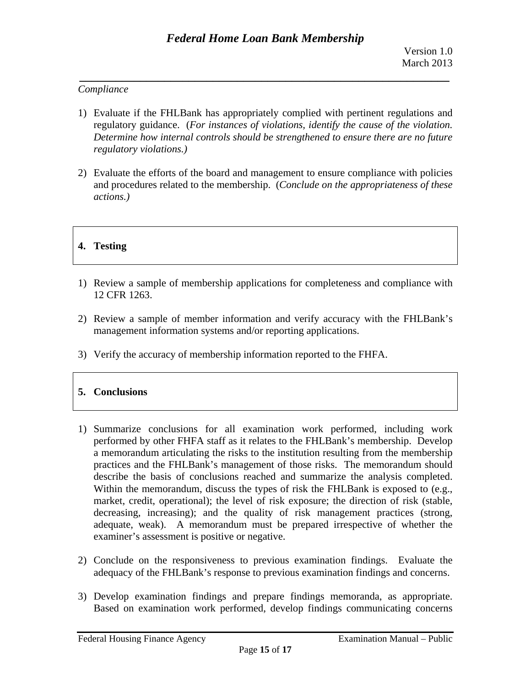## *Compliance*

- *regulatory violations.)* 1) Evaluate if the FHLBank has appropriately complied with pertinent regulations and regulatory guidance. (*For instances of violations, identify the cause of the violation. Determine how internal controls should be strengthened to ensure there are no future*
- *actions.)* 2) Evaluate the efforts of the board and management to ensure compliance with policies and procedures related to the membership. (*Conclude on the appropriateness of these*

# **4. Testing**

- 1) Review a sample of membership applications for completeness and compliance with 12 CFR 1263.
- 2) Review a sample of member information and verify accuracy with the FHLBank's management information systems and/or reporting applications.
- 3) Verify the accuracy of membership information reported to the FHFA.

## **5. Conclusions**

- 1) Summarize conclusions for all examination work performed, including work performed by other FHFA staff as it relates to the FHLBank's membership. Develop a memorandum articulating the risks to the institution resulting from the membership practices and the FHLBank's management of those risks. The memorandum should describe the basis of conclusions reached and summarize the analysis completed. Within the memorandum, discuss the types of risk the FHLBank is exposed to (e.g., market, credit, operational); the level of risk exposure; the direction of risk (stable, decreasing, increasing); and the quality of risk management practices (strong, adequate, weak). A memorandum must be prepared irrespective of whether the examiner's assessment is positive or negative.
- 2) Conclude on the responsiveness to previous examination findings. Evaluate the adequacy of the FHLBank's response to previous examination findings and concerns.
- 3) Develop examination findings and prepare findings memoranda, as appropriate. Based on examination work performed, develop findings communicating concerns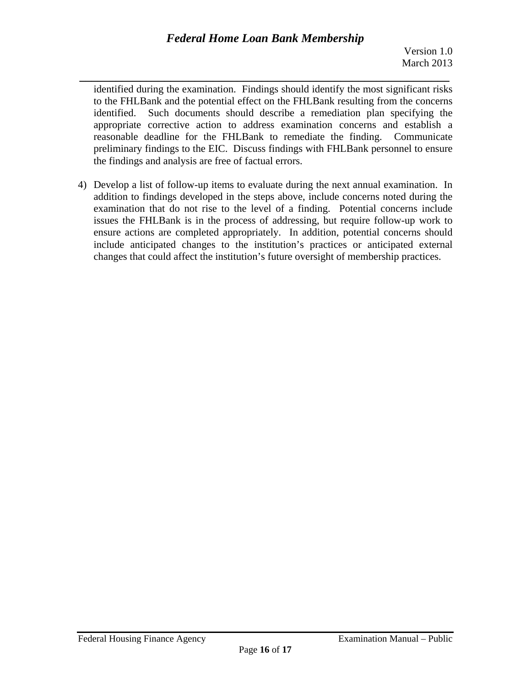*\_\_\_\_\_\_\_\_\_\_\_\_\_\_\_\_\_\_\_\_\_\_\_\_\_\_\_\_\_\_\_\_\_\_\_\_\_\_\_\_\_\_\_\_\_\_\_\_\_\_\_\_\_\_\_\_\_\_\_\_\_*  identified during the examination. Findings should identify the most significant risks to the FHLBank and the potential effect on the FHLBank resulting from the concerns identified. Such documents should describe a remediation plan specifying the appropriate corrective action to address examination concerns and establish a reasonable deadline for the FHLBank to remediate the finding. Communicate preliminary findings to the EIC. Discuss findings with FHLBank personnel to ensure the findings and analysis are free of factual errors.

4) Develop a list of follow-up items to evaluate during the next annual examination. In addition to findings developed in the steps above, include concerns noted during the examination that do not rise to the level of a finding. Potential concerns include issues the FHLBank is in the process of addressing, but require follow-up work to ensure actions are completed appropriately. In addition, potential concerns should include anticipated changes to the institution's practices or anticipated external changes that could affect the institution's future oversight of membership practices.